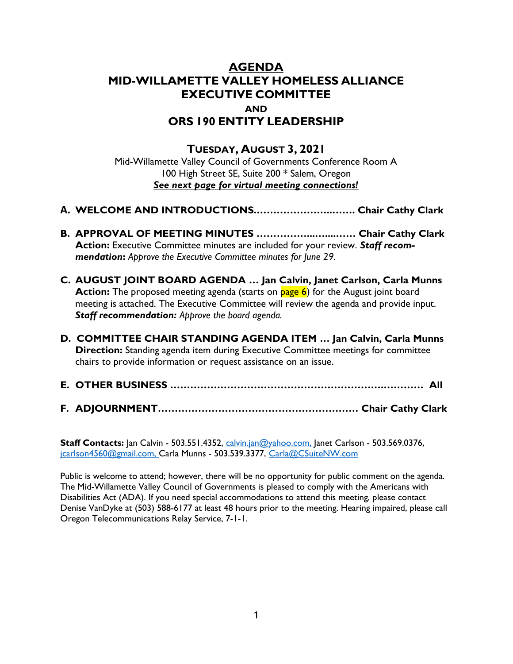## AGENDA MID-WILLAMETTE VALLEY HOMELESS ALLIANCE EXECUTIVE COMMITTEE AND ORS 190 ENTITY LEADERSHIP

## TUESDAY, AUGUST 3, 2021

Mid-Willamette Valley Council of Governments Conference Room A 100 High Street SE, Suite 200 \* Salem, Oregon See next page for virtual meeting connections!

- A. WELCOME AND INTRODUCTIONS.…………………..……. Chair Cathy Clark
- B. APPROVAL OF MEETING MINUTES ……………...…....…… Chair Cathy Clark Action: Executive Committee minutes are included for your review. Staff recommendation: Approve the Executive Committee minutes for June 29.
- C. AUGUST JOINT BOARD AGENDA … Jan Calvin, Janet Carlson, Carla Munns Action: The proposed meeting agenda (starts on page 6) for the August joint board meeting is attached. The Executive Committee will review the agenda and provide input. Staff recommendation: Approve the board agenda.
- D. COMMITTEE CHAIR STANDING AGENDA ITEM … Jan Calvin, Carla Munns **Direction:** Standing agenda item during Executive Committee meetings for committee chairs to provide information or request assistance on an issue.
- E. OTHER BUSINESS ……………………………………………………….………… All
- F. ADJOURNMENT…………………………………………………… Chair Cathy Clark

Staff Contacts: Jan Calvin - 503.551.4352, calvin.jan@yahoo.com, Janet Carlson - 503.569.0376, jcarlson4560@gmail.com, Carla Munns - 503.539.3377, Carla@CSuiteNW.com

Public is welcome to attend; however, there will be no opportunity for public comment on the agenda. The Mid-Willamette Valley Council of Governments is pleased to comply with the Americans with Disabilities Act (ADA). If you need special accommodations to attend this meeting, please contact Denise VanDyke at (503) 588-6177 at least 48 hours prior to the meeting. Hearing impaired, please call Oregon Telecommunications Relay Service, 7-1-1.